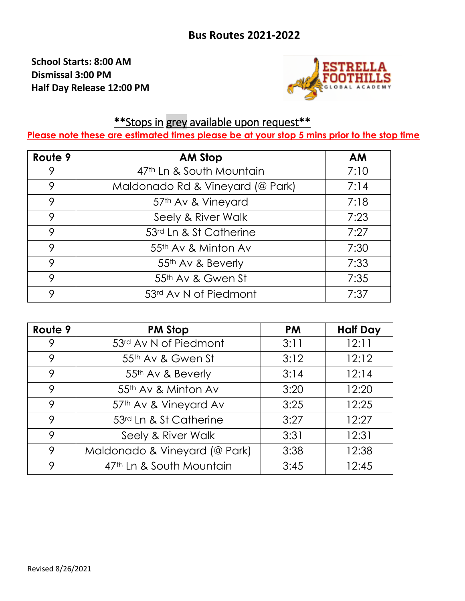**School Starts: 8:00 AM Dismissal 3:00 PM Half Day Release 12:00 PM**



## \*\*Stops in grey available upon request\*\*

**Please note these are estimated times please be at your stop 5 mins prior to the stop time**

| Route 9 | <b>AM Stop</b>                   | <b>AM</b> |
|---------|----------------------------------|-----------|
|         | 47th Ln & South Mountain         | 7:10      |
| 9       | Maldonado Rd & Vineyard (@ Park) | 7:14      |
| 9       | 57th Av & Vineyard               | 7:18      |
| 9       | Seely & River Walk               | 7:23      |
| 9       | 53rd Ln & St Catherine           | 7:27      |
| 9       | 55th Av & Minton Av              | 7:30      |
| 9       | 55th Av & Beverly                | 7:33      |
| 9       | 55th Av & Gwen St                | 7:35      |
| 9       | 53rd Av N of Piedmont            | 7:37      |

| Route 9 | <b>PM Stop</b>                | <b>PM</b> | <b>Half Day</b> |
|---------|-------------------------------|-----------|-----------------|
|         | 53rd Av N of Piedmont         | 3:11      | 12:11           |
| 9       | 55th Av & Gwen St             | 3:12      | 12:12           |
| 9       | 55 <sup>th</sup> Av & Beverly | 3:14      | 12:14           |
| 9       | 55th Av & Minton Av           | 3:20      | 12:20           |
| 9       | 57th Av & Vineyard Av         | 3:25      | 12:25           |
| 9       | 53rd Ln & St Catherine        | 3:27      | 12:27           |
| 9       | Seely & River Walk            | 3:31      | 12:31           |
| 9       | Maldonado & Vineyard (@ Park) | 3:38      | 12:38           |
| 9       | 47th Ln & South Mountain      | 3:45      | 12:45           |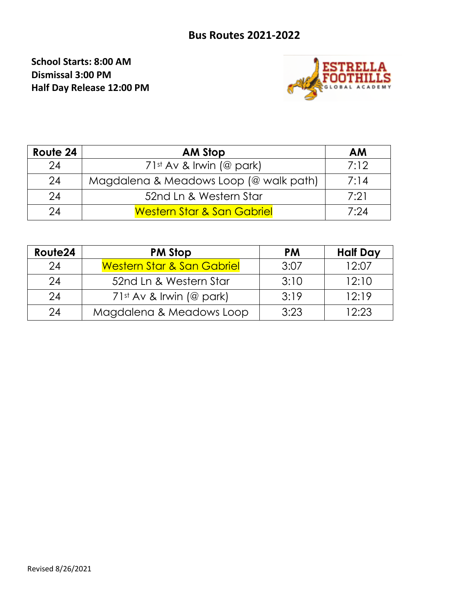## **Bus Routes 2021-2022**

**School Starts: 8:00 AM Dismissal 3:00 PM Half Day Release 12:00 PM**



| Route 24 | <b>AM Stop</b>                         | <b>AM</b> |
|----------|----------------------------------------|-----------|
| 24       | $71st$ Av & Irwin (@ park)             | 7:12      |
| 24       | Magdalena & Meadows Loop (@ walk path) | 7:14      |
| 24       | 52nd Ln & Western Star                 | 7:21      |
| 24       | <b>Western Star &amp; San Gabriel</b>  | 7:24      |

| Route24 | <b>PM Stop</b>                        | <b>PM</b> | <b>Half Day</b> |
|---------|---------------------------------------|-----------|-----------------|
| 24      | <b>Western Star &amp; San Gabriel</b> | 3:07      | 12:07           |
| 24      | 52nd Ln & Western Star                | 3:10      | 12:10           |
| 24      | $71st$ Av & Irwin (@ park)            | 3:19      | 12:19           |
| 24      | Magdalena & Meadows Loop              | 3:23      | 12:23           |